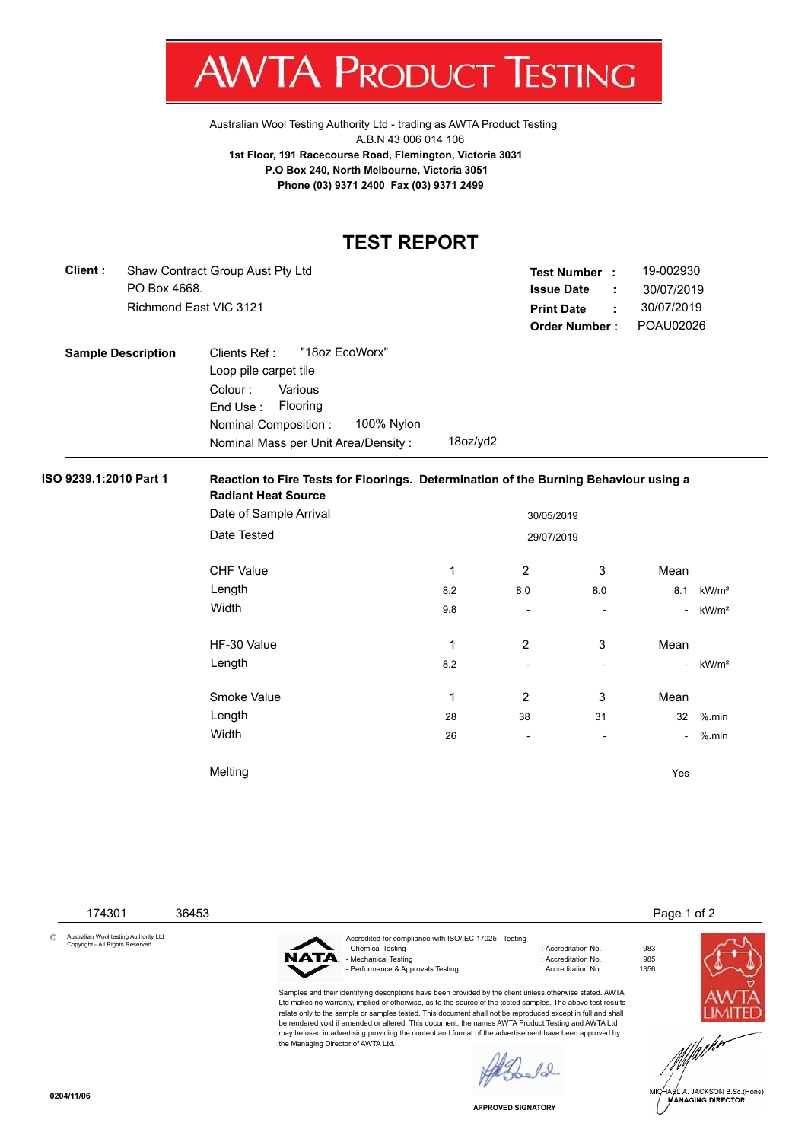

[Australian Wool Testing Authority Ltd - trading as AWTA Product Testing](http://www.awtaproducttesting.com.au/) A.B.N 43 006 014 106 **1st Floor, 191 Racecourse Road, Flemington, Victoria 3031 P.O Box 240, North Melbourne, Victoria 3051 Phone (03) 9371 2400 Fax (03) 9371 2499**

## **TEST REPORT**

| Client : | Shaw Contract Group Aust Pty Ltd | <b>Test Number</b>   |                   | 19-002930  |
|----------|----------------------------------|----------------------|-------------------|------------|
|          | PO Box 4668.                     | <b>Issue Date</b>    | - 11              | 30/07/2019 |
|          | Richmond East VIC 3121           | <b>Print Date</b>    | $\sim$ 100 $\sim$ | 30/07/2019 |
|          |                                  | <b>Order Number:</b> |                   | POAU02026  |

| <b>Sample Description</b> | "18oz EcoWorx"<br>Clients Ref :                       |
|---------------------------|-------------------------------------------------------|
|                           | Loop pile carpet tile                                 |
|                           | Various<br>Colour:                                    |
|                           | Flooring<br>End Use:                                  |
|                           | 100% Nylon<br>Nominal Composition:                    |
|                           | $18$ oz/yd $2$<br>Nominal Mass per Unit Area/Density: |

## **ISO 9239.1:2010 Part 1 Reaction to Fire Tests for Floorings. Determination of the Burning Behaviour using a Radiant Heat Source**

| Date of Sample Arrival | 30/05/2019 |                          |                          |                          |                   |
|------------------------|------------|--------------------------|--------------------------|--------------------------|-------------------|
| Date Tested            | 29/07/2019 |                          |                          |                          |                   |
|                        |            |                          |                          |                          |                   |
| <b>CHF Value</b>       | 1          | $\overline{2}$           | 3                        | Mean                     |                   |
| Length                 | 8.2        | 8.0                      | 8.0                      | 8.1                      | kW/m <sup>2</sup> |
| Width                  | 9.8        | ۰                        | $\overline{\phantom{a}}$ | ٠                        | kW/m <sup>2</sup> |
|                        |            |                          |                          |                          |                   |
| HF-30 Value            | 1          | $\overline{2}$           | 3                        | Mean                     |                   |
| Length                 | 8.2        | $\overline{\phantom{a}}$ | $\overline{\phantom{a}}$ | $\overline{\phantom{a}}$ | kW/m <sup>2</sup> |
|                        |            |                          |                          |                          |                   |
| Smoke Value            | 1          | $\overline{2}$           | 3                        | Mean                     |                   |
| Length                 | 28         | 38                       | 31                       | 32                       | $%$ .min          |
| Width                  | 26         | $\overline{\phantom{a}}$ | $\overline{\phantom{a}}$ | $\overline{\phantom{0}}$ | $%$ .min          |
|                        |            |                          |                          |                          |                   |
| Melting                |            |                          |                          | Yes                      |                   |
|                        |            |                          |                          |                          |                   |

174301 36453 **Page 1 of 2** 

© Australian Wool testing Authority Ltd Copyright - All Rights Reserved



the Managing Director of AWTA Ltd.

Accredited for compliance with ISO/IEC 17025 - Testing - Chemical Testing 1983<br>- Mechanical Testing 1983<br>- Mechanical Testing 1985<br>- Accreditation No. 985 - Mechanical Testing : Accreditation No. 985<br>- Performance & Approvals Testing : Accreditation No. 61356 - Performance & Approvals Testing

Samples and their identifying descriptions have been provided by the client unless otherwise stated. AWTA Ltd makes no warranty, implied or otherwise, as to the source of the tested samples. The above test results relate only to the sample or samples tested. This document shall not be reproduced except in full and shall be rendered void if amended or altered. This document, the names AWTA Product Testing and AWTA Ltd may be used in advertising providing the content and format of the advertisement have been approved by



.<br>IA∉L A. JACKSON B.Sc.(Hons)<br>MANAGING DIRECTOR

**APPROVED SIGNATORY**

 $\ell_{\infty}$